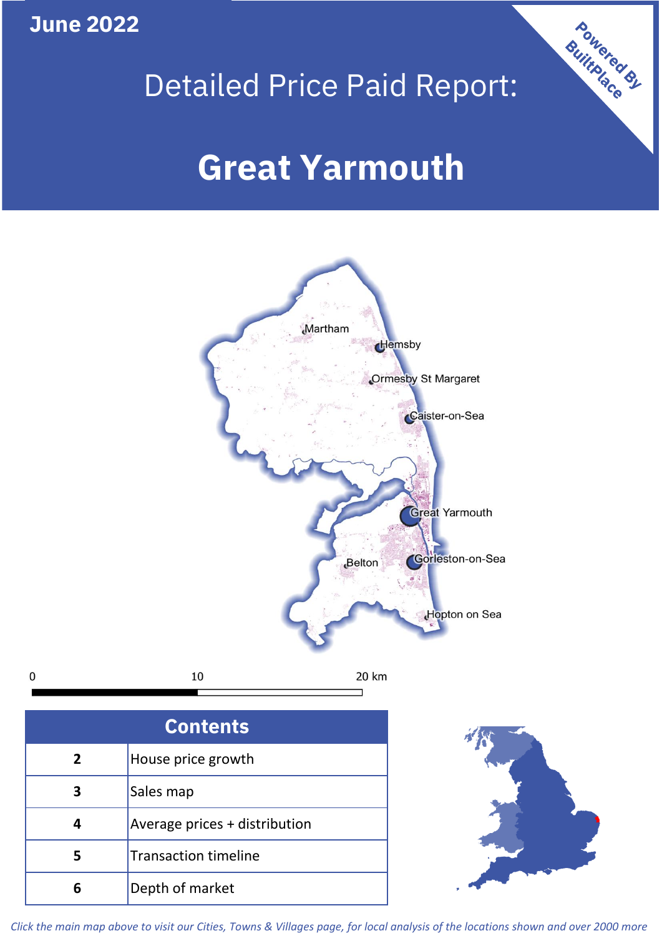**June 2022**

 $\mathbf 0$ 





| <b>Contents</b> |                               |  |  |
|-----------------|-------------------------------|--|--|
| $\overline{2}$  | House price growth            |  |  |
| 3               | Sales map                     |  |  |
| 4               | Average prices + distribution |  |  |
| 5               | <b>Transaction timeline</b>   |  |  |
|                 | Depth of market               |  |  |



*Click the main map above to visit our Cities, Towns & Villages page, for local analysis of the locations shown and over 2000 more*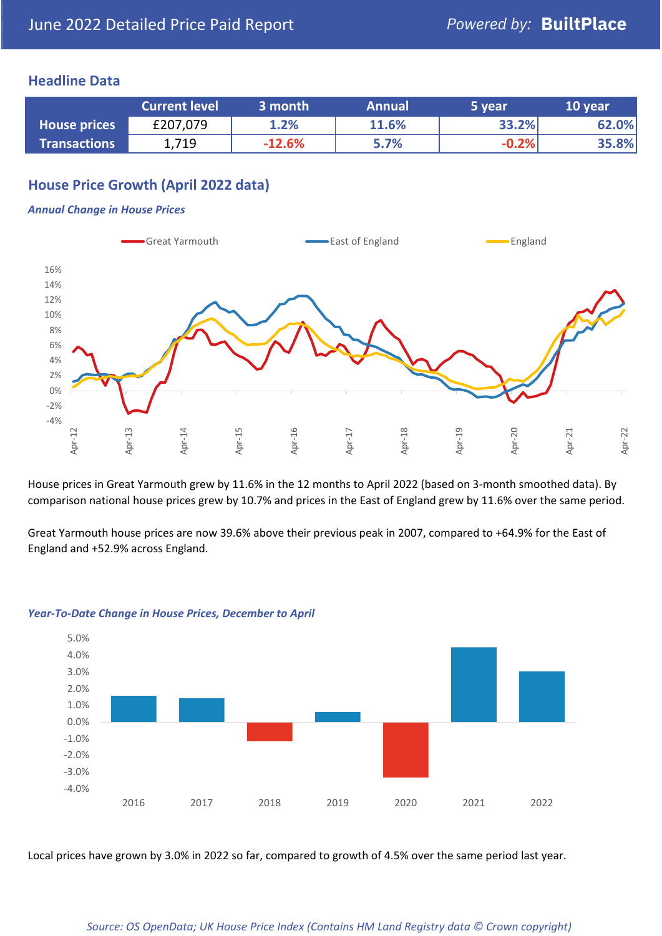## **Headline Data**

|                     | <b>Current level</b> | 3 month  | <b>Annual</b> | 5 year  | 10 year |
|---------------------|----------------------|----------|---------------|---------|---------|
| <b>House prices</b> | £207,079             | 1.2%     | 11.6%         | 33.2%   | 62.0%   |
| <b>Transactions</b> | 1,719                | $-12.6%$ | 5.7%          | $-0.2%$ | 35.8%   |

# **House Price Growth (April 2022 data)**

#### *Annual Change in House Prices*



House prices in Great Yarmouth grew by 11.6% in the 12 months to April 2022 (based on 3-month smoothed data). By comparison national house prices grew by 10.7% and prices in the East of England grew by 11.6% over the same period.

Great Yarmouth house prices are now 39.6% above their previous peak in 2007, compared to +64.9% for the East of England and +52.9% across England.



#### *Year-To-Date Change in House Prices, December to April*

Local prices have grown by 3.0% in 2022 so far, compared to growth of 4.5% over the same period last year.

#### *Source: OS OpenData; UK House Price Index (Contains HM Land Registry data © Crown copyright)*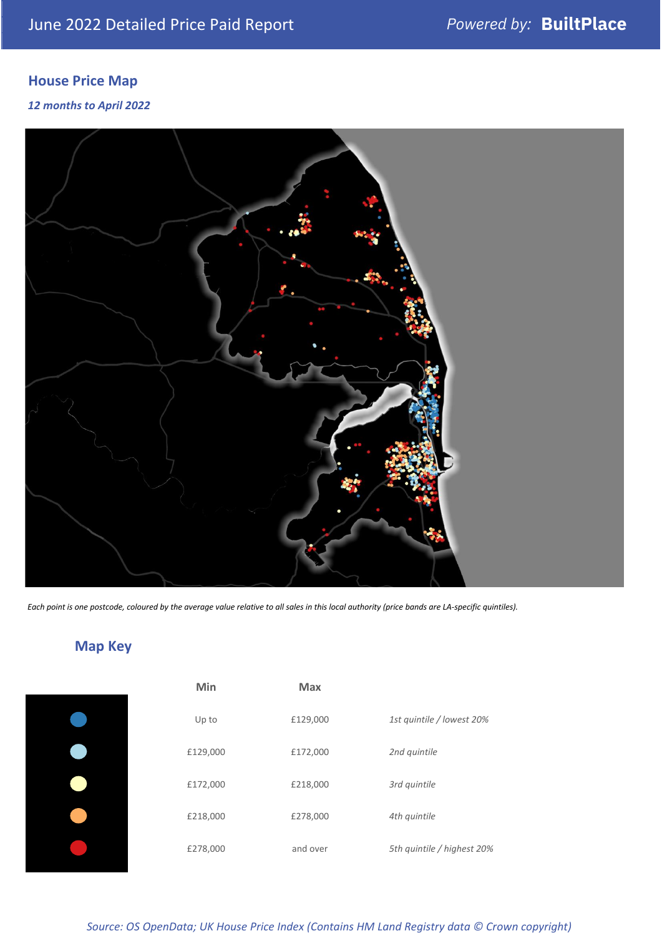# **House Price Map**

## *12 months to April 2022*



*Each point is one postcode, coloured by the average value relative to all sales in this local authority (price bands are LA-specific quintiles).*

# **Map Key**

| Up t  |
|-------|
| £129, |
| £172, |
| £218, |
| £278, |
|       |

| Min      | <b>Max</b> |                            |
|----------|------------|----------------------------|
| Up to    | £129,000   | 1st quintile / lowest 20%  |
| £129,000 | £172,000   | 2nd quintile               |
| £172,000 | £218,000   | 3rd quintile               |
| £218,000 | £278,000   | 4th quintile               |
| £278,000 | and over   | 5th quintile / highest 20% |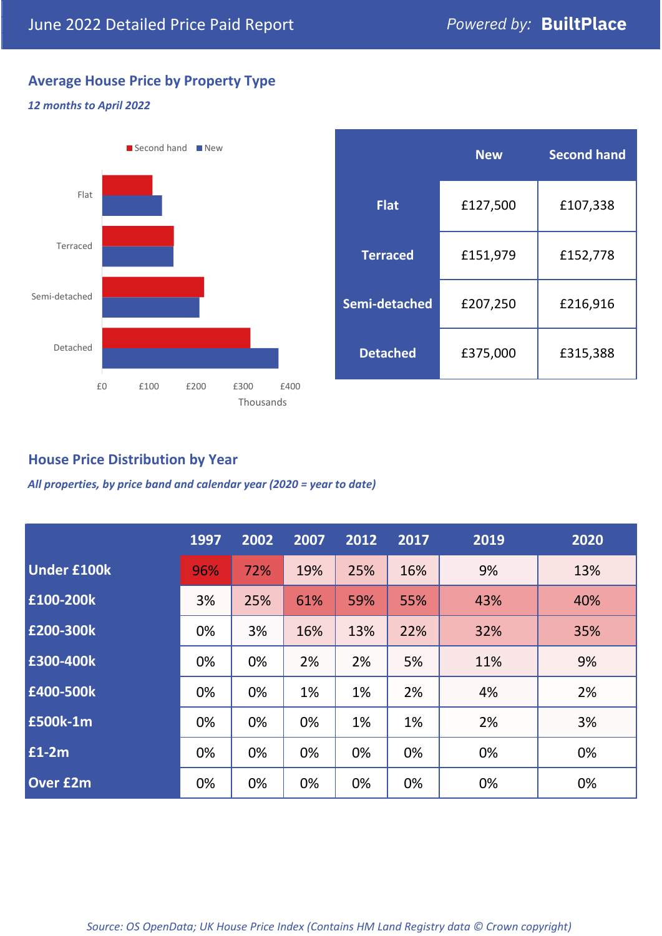# **Average House Price by Property Type**

## *12 months to April 2022*



|                 | <b>New</b> | <b>Second hand</b> |  |  |
|-----------------|------------|--------------------|--|--|
| <b>Flat</b>     | £127,500   | £107,338           |  |  |
| <b>Terraced</b> | £151,979   | £152,778           |  |  |
| Semi-detached   | £207,250   | £216,916           |  |  |
| <b>Detached</b> | £375,000   | £315,388           |  |  |

## **House Price Distribution by Year**

*All properties, by price band and calendar year (2020 = year to date)*

|                    | 1997 | 2002 | 2007 | 2012 | 2017 | 2019 | 2020 |
|--------------------|------|------|------|------|------|------|------|
| <b>Under £100k</b> | 96%  | 72%  | 19%  | 25%  | 16%  | 9%   | 13%  |
| £100-200k          | 3%   | 25%  | 61%  | 59%  | 55%  | 43%  | 40%  |
| E200-300k          | 0%   | 3%   | 16%  | 13%  | 22%  | 32%  | 35%  |
| £300-400k          | 0%   | 0%   | 2%   | 2%   | 5%   | 11%  | 9%   |
| £400-500k          | 0%   | 0%   | 1%   | 1%   | 2%   | 4%   | 2%   |
| £500k-1m           | 0%   | 0%   | 0%   | 1%   | 1%   | 2%   | 3%   |
| £1-2m              | 0%   | 0%   | 0%   | 0%   | 0%   | 0%   | 0%   |
| <b>Over £2m</b>    | 0%   | 0%   | 0%   | 0%   | 0%   | 0%   | 0%   |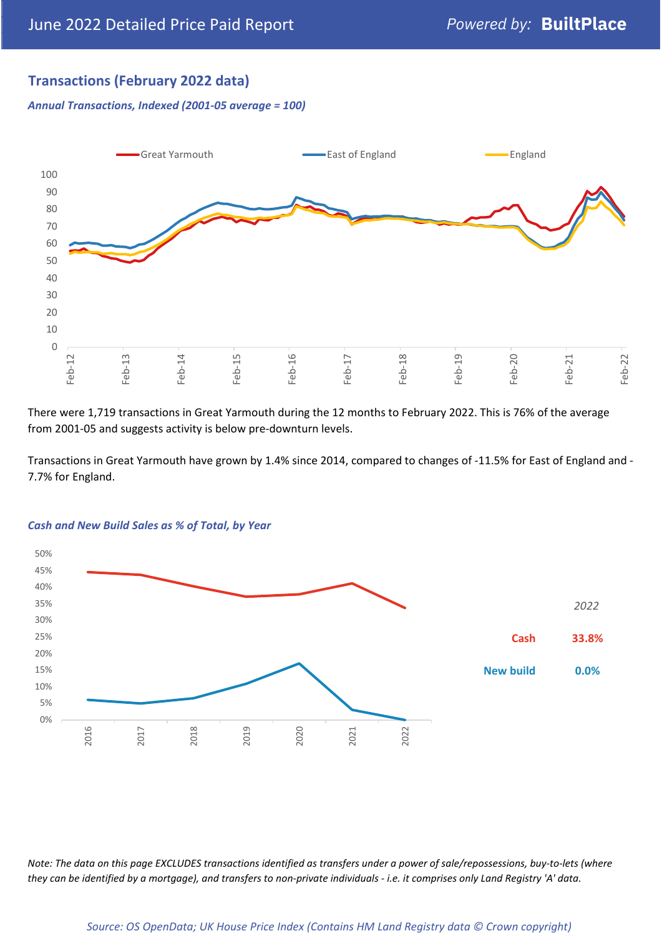# **Transactions (February 2022 data)**

*Annual Transactions, Indexed (2001-05 average = 100)*



There were 1,719 transactions in Great Yarmouth during the 12 months to February 2022. This is 76% of the average from 2001-05 and suggests activity is below pre-downturn levels.

Transactions in Great Yarmouth have grown by 1.4% since 2014, compared to changes of -11.5% for East of England and - 7.7% for England.



#### *Cash and New Build Sales as % of Total, by Year*

*Note: The data on this page EXCLUDES transactions identified as transfers under a power of sale/repossessions, buy-to-lets (where they can be identified by a mortgage), and transfers to non-private individuals - i.e. it comprises only Land Registry 'A' data.*